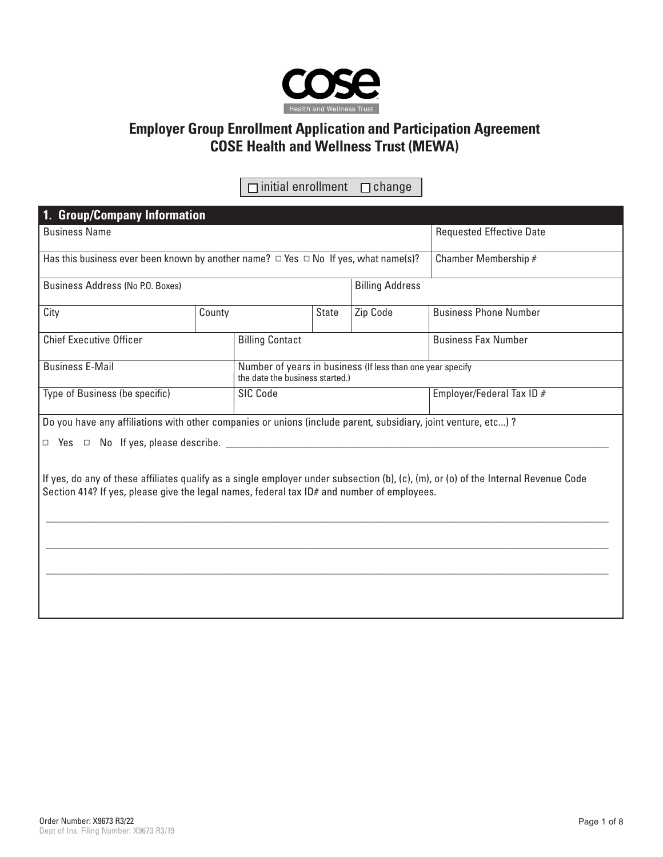

# **Employer Group Enrollment Application and Participation Agreement COSE Health and Wellness Trust (MEWA)**

 $\Box$  initial enrollment  $\Box$  change

| 1. Group/Company Information                                                                                                                                                                                                      |                                    |  |  |                           |                                 |  |  |  |  |
|-----------------------------------------------------------------------------------------------------------------------------------------------------------------------------------------------------------------------------------|------------------------------------|--|--|---------------------------|---------------------------------|--|--|--|--|
| <b>Business Name</b>                                                                                                                                                                                                              |                                    |  |  |                           | <b>Requested Effective Date</b> |  |  |  |  |
| Has this business ever been known by another name? $\Box$ Yes $\Box$ No If yes, what name(s)?                                                                                                                                     |                                    |  |  |                           | Chamber Membership #            |  |  |  |  |
| Business Address (No P.O. Boxes)<br><b>Billing Address</b>                                                                                                                                                                        |                                    |  |  |                           |                                 |  |  |  |  |
| City                                                                                                                                                                                                                              | Zip Code<br>County<br><b>State</b> |  |  |                           | <b>Business Phone Number</b>    |  |  |  |  |
| <b>Chief Executive Officer</b>                                                                                                                                                                                                    | <b>Billing Contact</b>             |  |  |                           | <b>Business Fax Number</b>      |  |  |  |  |
| <b>Business E-Mail</b><br>Number of years in business (If less than one year specify<br>the date the business started.)                                                                                                           |                                    |  |  |                           |                                 |  |  |  |  |
| Type of Business (be specific)                                                                                                                                                                                                    | <b>SIC Code</b>                    |  |  | Employer/Federal Tax ID # |                                 |  |  |  |  |
| Do you have any affiliations with other companies or unions (include parent, subsidiary, joint venture, etc)?                                                                                                                     |                                    |  |  |                           |                                 |  |  |  |  |
| $\Box$ Yes $\Box$ No If yes, please describe.                                                                                                                                                                                     |                                    |  |  |                           |                                 |  |  |  |  |
| If yes, do any of these affiliates qualify as a single employer under subsection (b), (c), (m), or (o) of the Internal Revenue Code<br>Section 414? If yes, please give the legal names, federal tax ID# and number of employees. |                                    |  |  |                           |                                 |  |  |  |  |
|                                                                                                                                                                                                                                   |                                    |  |  |                           |                                 |  |  |  |  |
|                                                                                                                                                                                                                                   |                                    |  |  |                           |                                 |  |  |  |  |
|                                                                                                                                                                                                                                   |                                    |  |  |                           |                                 |  |  |  |  |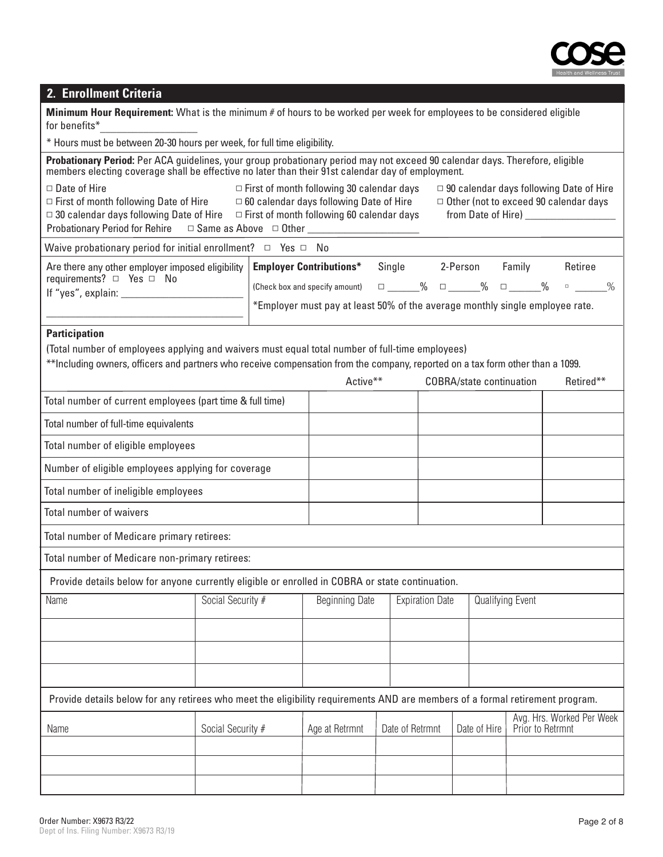

# **2. Enrollment Criteria**

| <b>Minimum Hour Requirement:</b> What is the minimum # of hours to be worked per week for employees to be considered eligible |
|-------------------------------------------------------------------------------------------------------------------------------|
| for benefits*                                                                                                                 |

\* Hours must be between 20-30 hours per week, for full time eligibility.

| Probationary Period: Per ACA guidelines, your group probationary period may not exceed 90 calendar days. Therefore, eligible members electing coverage shall be effective no later than their 91st calendar day of employment.                                            |                                                                                                                                                       |  |                                                   |                        |                                                                                                |                        |  |                                 |                           |           |  |
|---------------------------------------------------------------------------------------------------------------------------------------------------------------------------------------------------------------------------------------------------------------------------|-------------------------------------------------------------------------------------------------------------------------------------------------------|--|---------------------------------------------------|------------------------|------------------------------------------------------------------------------------------------|------------------------|--|---------------------------------|---------------------------|-----------|--|
| $\Box$ First of month following 30 calendar days<br>$\Box$ Date of Hire<br>$\Box$ First of month following Date of Hire $\Box$ 60 calendar days following Date of Hire<br>$\Box$ 30 calendar days following Date of Hire $\Box$ First of month following 60 calendar days |                                                                                                                                                       |  |                                                   |                        | $\Box$ 90 calendar days following Date of Hire<br>$\Box$ Other (not to exceed 90 calendar days |                        |  |                                 |                           |           |  |
|                                                                                                                                                                                                                                                                           |                                                                                                                                                       |  |                                                   |                        |                                                                                                |                        |  |                                 |                           |           |  |
| Waive probationary period for initial enrollment? $\Box$ Yes $\Box$ No                                                                                                                                                                                                    |                                                                                                                                                       |  |                                                   |                        |                                                                                                |                        |  |                                 |                           | Retiree   |  |
| <b>Employer Contributions*</b><br>Are there any other employer imposed eligibility<br>requirements? □ Yes □ No                                                                                                                                                            |                                                                                                                                                       |  |                                                   | Single 2-Person Family |                                                                                                |                        |  |                                 |                           |           |  |
|                                                                                                                                                                                                                                                                           | □ _____% □ _____% □ _____% □ _____%<br>(Check box and specify amount)<br>*Employer must pay at least 50% of the average monthly single employee rate. |  |                                                   |                        |                                                                                                |                        |  |                                 |                           |           |  |
|                                                                                                                                                                                                                                                                           |                                                                                                                                                       |  |                                                   |                        |                                                                                                |                        |  |                                 |                           |           |  |
| <b>Participation</b>                                                                                                                                                                                                                                                      |                                                                                                                                                       |  |                                                   |                        |                                                                                                |                        |  |                                 |                           |           |  |
| (Total number of employees applying and waivers must equal total number of full-time employees)                                                                                                                                                                           |                                                                                                                                                       |  |                                                   |                        |                                                                                                |                        |  |                                 |                           |           |  |
| **Including owners, officers and partners who receive compensation from the company, reported on a tax form other than a 1099.                                                                                                                                            |                                                                                                                                                       |  | Active**                                          |                        |                                                                                                |                        |  | <b>COBRA/state continuation</b> |                           | Retired** |  |
| Total number of current employees (part time & full time)                                                                                                                                                                                                                 |                                                                                                                                                       |  |                                                   |                        |                                                                                                |                        |  |                                 |                           |           |  |
|                                                                                                                                                                                                                                                                           |                                                                                                                                                       |  |                                                   |                        |                                                                                                |                        |  |                                 |                           |           |  |
| Total number of full-time equivalents                                                                                                                                                                                                                                     |                                                                                                                                                       |  |                                                   |                        |                                                                                                |                        |  |                                 |                           |           |  |
| Total number of eligible employees                                                                                                                                                                                                                                        |                                                                                                                                                       |  |                                                   |                        |                                                                                                |                        |  |                                 |                           |           |  |
| Number of eligible employees applying for coverage                                                                                                                                                                                                                        |                                                                                                                                                       |  |                                                   |                        |                                                                                                |                        |  |                                 |                           |           |  |
| Total number of ineligible employees                                                                                                                                                                                                                                      |                                                                                                                                                       |  |                                                   |                        |                                                                                                |                        |  |                                 |                           |           |  |
| Total number of waivers                                                                                                                                                                                                                                                   |                                                                                                                                                       |  |                                                   |                        |                                                                                                |                        |  |                                 |                           |           |  |
| Total number of Medicare primary retirees:                                                                                                                                                                                                                                |                                                                                                                                                       |  |                                                   |                        |                                                                                                |                        |  |                                 |                           |           |  |
| Total number of Medicare non-primary retirees:                                                                                                                                                                                                                            |                                                                                                                                                       |  |                                                   |                        |                                                                                                |                        |  |                                 |                           |           |  |
| Provide details below for anyone currently eligible or enrolled in COBRA or state continuation.                                                                                                                                                                           |                                                                                                                                                       |  |                                                   |                        |                                                                                                |                        |  |                                 |                           |           |  |
| Name                                                                                                                                                                                                                                                                      | Social Security #                                                                                                                                     |  | <b>Beginning Date</b>                             |                        |                                                                                                | <b>Expiration Date</b> |  | Qualifying Event                |                           |           |  |
|                                                                                                                                                                                                                                                                           |                                                                                                                                                       |  |                                                   |                        |                                                                                                |                        |  |                                 |                           |           |  |
|                                                                                                                                                                                                                                                                           |                                                                                                                                                       |  |                                                   |                        |                                                                                                |                        |  |                                 |                           |           |  |
|                                                                                                                                                                                                                                                                           |                                                                                                                                                       |  |                                                   |                        |                                                                                                |                        |  |                                 |                           |           |  |
| Provide details below for any retirees who meet the eligibility requirements AND are members of a formal retirement program.                                                                                                                                              |                                                                                                                                                       |  |                                                   |                        |                                                                                                |                        |  |                                 |                           |           |  |
|                                                                                                                                                                                                                                                                           |                                                                                                                                                       |  |                                                   |                        |                                                                                                |                        |  |                                 | Avg. Hrs. Worked Per Week |           |  |
| Name                                                                                                                                                                                                                                                                      | Social Security #                                                                                                                                     |  | Date of Retrmnt<br>Age at Retrmnt<br>Date of Hire |                        |                                                                                                |                        |  | Prior to Retrmnt                |                           |           |  |
|                                                                                                                                                                                                                                                                           |                                                                                                                                                       |  |                                                   |                        |                                                                                                |                        |  |                                 |                           |           |  |
|                                                                                                                                                                                                                                                                           |                                                                                                                                                       |  |                                                   |                        |                                                                                                |                        |  |                                 |                           |           |  |
|                                                                                                                                                                                                                                                                           |                                                                                                                                                       |  |                                                   |                        |                                                                                                |                        |  |                                 |                           |           |  |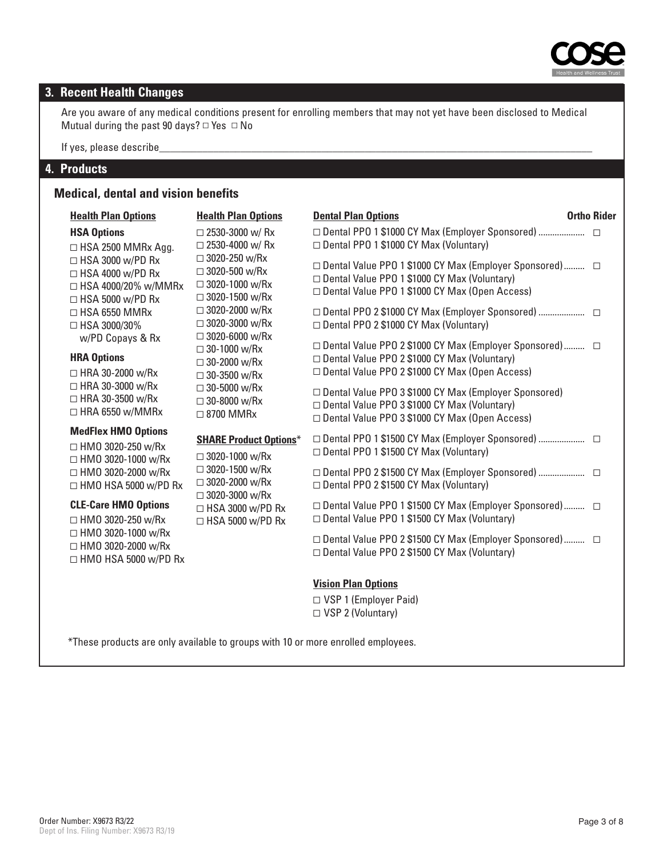

# **3. Recent Health Changes**

Are you aware of any medical conditions present for enrolling members that may not yet have been disclosed to Medical Mutual during the past 90 days?  $\Box$  Yes  $\Box$  No

If yes, please describe\_

#### **4. Products**

#### **Medical, dental and vision benefits**

| <b>Health Plan Options</b>                                                                                     | <b>Health Plan Options</b>                                                                                                                                                              | <b>Dental Plan Options</b>                                                                                                                                      | <b>Ortho Rider</b> |
|----------------------------------------------------------------------------------------------------------------|-----------------------------------------------------------------------------------------------------------------------------------------------------------------------------------------|-----------------------------------------------------------------------------------------------------------------------------------------------------------------|--------------------|
| <b>HSA Options</b><br>$\Box$ HSA 2500 MMRx Agg.                                                                | $\Box$ 2530-3000 w/ Rx<br>$\Box$ 2530-4000 w/ Rx                                                                                                                                        | □ Dental PPO 1 \$1000 CY Max (Employer Sponsored)<br>Dental PPO 1 \$1000 CY Max (Voluntary)                                                                     |                    |
| $\Box$ HSA 3000 w/PD Rx<br>$\Box$ HSA 4000 w/PD Rx<br>$\Box$ HSA 4000/20% w/MMRx<br>$\Box$ HSA 5000 w/PD Rx    | $\Box$ 3020-250 w/Rx<br>$\Box$ 3020-500 w/Rx<br>$\Box$ 3020-1000 w/Rx<br>$\Box$ 3020-1500 w/Rx                                                                                          | □ Dental Value PPO 1 \$1000 CY Max (Employer Sponsored) □<br>□ Dental Value PPO 1 \$1000 CY Max (Voluntary)<br>□ Dental Value PPO 1 \$1000 CY Max (Open Access) |                    |
| $\Box$ HSA 6550 MMRx<br>□ HSA 3000/30%                                                                         | $\Box$ 3020-2000 w/Rx<br>$\Box$ 3020-3000 w/Rx<br>$\Box$ 3020-6000 w/Rx                                                                                                                 | □ Dental PPO 2 \$1000 CY Max (Employer Sponsored)<br>□ Dental PPO 2 \$1000 CY Max (Voluntary)                                                                   |                    |
| w/PD Copays & Rx<br><b>HRA Options</b><br>$\Box$ HRA 30-2000 w/Rx                                              | $\Box$ 30-1000 w/Rx<br>$\Box$ 30-2000 w/Rx<br>$\Box$ 30-3500 w/Rx<br>$\Box$ 30-5000 w/Rx<br>$\Box$ 30-8000 w/Rx<br>$\Box$ 8700 MMRx                                                     | □ Dental Value PPO 2 \$1000 CY Max (Employer Sponsored) □<br>□ Dental Value PPO 2 \$1000 CY Max (Voluntary)<br>□ Dental Value PPO 2 \$1000 CY Max (Open Access) |                    |
| $\Box$ HRA 30-3000 w/Rx<br>$\Box$ HRA 30-3500 w/Rx<br>$\Box$ HRA 6550 w/MMRx                                   |                                                                                                                                                                                         | □ Dental Value PPO 3 \$1000 CY Max (Employer Sponsored)<br>□ Dental Value PPO 3 \$1000 CY Max (Voluntary)<br>□ Dental Value PPO 3 \$1000 CY Max (Open Access)   |                    |
| <b>MedFlex HMO Options</b><br>$\Box$ HMO 3020-250 w/Rx<br>□ HMO 3020-1000 w/Rx                                 | <b>SHARE Product Options*</b><br>$\Box$ 3020-1000 w/Rx<br>$\Box$ 3020-1500 w/Rx<br>$\Box$ 3020-2000 w/Rx<br>$\Box$ 3020-3000 w/Rx<br>$\Box$ HSA 3000 w/PD Rx<br>$\Box$ HSA 5000 w/PD Rx | □ Dental PPO 1 \$1500 CY Max (Employer Sponsored)<br>□ Dental PPO 1 \$1500 CY Max (Voluntary)                                                                   |                    |
| □ HMO 3020-2000 w/Rx<br>$\Box$ HMO HSA 5000 w/PD Rx<br><b>CLE-Care HMO Options</b><br>$\Box$ HMO 3020-250 w/Rx |                                                                                                                                                                                         | □ Dental PPO 2 \$1500 CY Max (Employer Sponsored)<br>□ Dental PPO 2 \$1500 CY Max (Voluntary)                                                                   |                    |
|                                                                                                                |                                                                                                                                                                                         | □ Dental Value PPO 1 \$1500 CY Max (Employer Sponsored) □<br>□ Dental Value PPO 1 \$1500 CY Max (Voluntary)                                                     |                    |
| □ HMO 3020-1000 w/Rx<br>$\Box$ HMO 3020-2000 w/Rx<br>$\Box$ HMO HSA 5000 w/PD Rx                               |                                                                                                                                                                                         | □ Dental Value PPO 2 \$1500 CY Max (Employer Sponsored) □<br>□ Dental Value PPO 2 \$1500 CY Max (Voluntary)                                                     |                    |
|                                                                                                                |                                                                                                                                                                                         | <b>Vision Plan Options</b>                                                                                                                                      |                    |
|                                                                                                                |                                                                                                                                                                                         | $\Box$ VSP 1 (Employer Paid)                                                                                                                                    |                    |

▫ VSP 1 (Employer Paid) □ VSP 2 (Voluntary)

\*These products are only available to groups with 10 or more enrolled employees.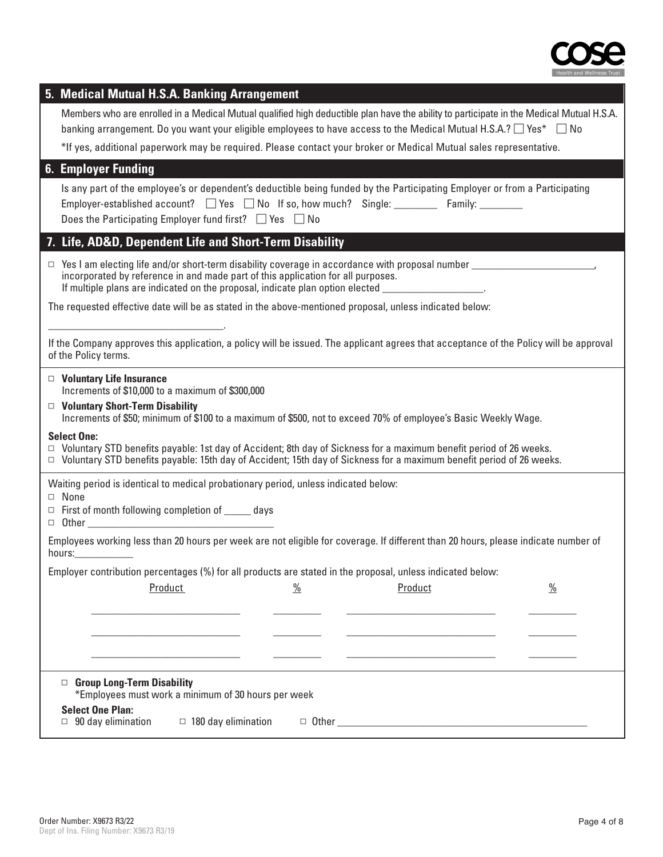

| 5. Medical Mutual H.S.A. Banking Arrangement                                                                                                                                                                                                                                                       |  |  |  |  |  |  |  |
|----------------------------------------------------------------------------------------------------------------------------------------------------------------------------------------------------------------------------------------------------------------------------------------------------|--|--|--|--|--|--|--|
| Members who are enrolled in a Medical Mutual qualified high deductible plan have the ability to participate in the Medical Mutual H.S.A.                                                                                                                                                           |  |  |  |  |  |  |  |
| banking arrangement. Do you want your eligible employees to have access to the Medical Mutual H.S.A.? $\Box$ Yes* $\Box$ No                                                                                                                                                                        |  |  |  |  |  |  |  |
| *If yes, additional paperwork may be required. Please contact your broker or Medical Mutual sales representative.                                                                                                                                                                                  |  |  |  |  |  |  |  |
| <b>6. Employer Funding</b>                                                                                                                                                                                                                                                                         |  |  |  |  |  |  |  |
| Is any part of the employee's or dependent's deductible being funded by the Participating Employer or from a Participating<br>Employer-established account? $\Box$ Yes $\Box$ No If so, how much? Single: Family: Family:<br>Does the Participating Employer fund first? $\Box$ Yes $\Box$ No      |  |  |  |  |  |  |  |
| 7. Life, AD&D, Dependent Life and Short-Term Disability                                                                                                                                                                                                                                            |  |  |  |  |  |  |  |
| $\Box$ Yes I am electing life and/or short-term disability coverage in accordance with proposal number<br>incorporated by reference in and made part of this application for all purposes.<br>If multiple plans are indicated on the proposal, indicate plan option elected ___________________.   |  |  |  |  |  |  |  |
| The requested effective date will be as stated in the above-mentioned proposal, unless indicated below:                                                                                                                                                                                            |  |  |  |  |  |  |  |
| If the Company approves this application, a policy will be issued. The applicant agrees that acceptance of the Policy will be approval<br>of the Policy terms.                                                                                                                                     |  |  |  |  |  |  |  |
| $\Box$ Voluntary Life Insurance<br>Increments of \$10,000 to a maximum of \$300,000<br>$\Box$ Voluntary Short-Term Disability<br>Increments of \$50; minimum of \$100 to a maximum of \$500, not to exceed 70% of employee's Basic Weekly Wage.                                                    |  |  |  |  |  |  |  |
| <b>Select One:</b><br>$\Box$ Voluntary STD benefits payable: 1st day of Accident; 8th day of Sickness for a maximum benefit period of 26 weeks.<br>□ Voluntary STD benefits payable: 15th day of Accident; 15th day of Sickness for a maximum benefit period of 26 weeks.                          |  |  |  |  |  |  |  |
| Waiting period is identical to medical probationary period, unless indicated below:                                                                                                                                                                                                                |  |  |  |  |  |  |  |
| $\Box$ None                                                                                                                                                                                                                                                                                        |  |  |  |  |  |  |  |
| $\Box$ First of month following completion of _______ days<br>D Other <u>Denomination of the Carl Community of the Carl Community of the Carl Community of the Carl Community of the Carl Community of the Carl Community of the Carl Community of the Carl Community of the Carl Community of</u> |  |  |  |  |  |  |  |
| Employees working less than 20 hours per week are not eligible for coverage. If different than 20 hours, please indicate number of<br>hours: 1999                                                                                                                                                  |  |  |  |  |  |  |  |
| Employer contribution percentages (%) for all products are stated in the proposal, unless indicated below:                                                                                                                                                                                         |  |  |  |  |  |  |  |
| $\frac{0}{0}$<br>$\frac{0}{0}$<br>Product<br>Product                                                                                                                                                                                                                                               |  |  |  |  |  |  |  |
|                                                                                                                                                                                                                                                                                                    |  |  |  |  |  |  |  |
|                                                                                                                                                                                                                                                                                                    |  |  |  |  |  |  |  |
|                                                                                                                                                                                                                                                                                                    |  |  |  |  |  |  |  |
|                                                                                                                                                                                                                                                                                                    |  |  |  |  |  |  |  |
| □ Group Long-Term Disability<br>*Employees must work a minimum of 30 hours per week                                                                                                                                                                                                                |  |  |  |  |  |  |  |
| <b>Select One Plan:</b>                                                                                                                                                                                                                                                                            |  |  |  |  |  |  |  |
| $\Box$ 180 day elimination<br>$\Box$ 90 day elimination                                                                                                                                                                                                                                            |  |  |  |  |  |  |  |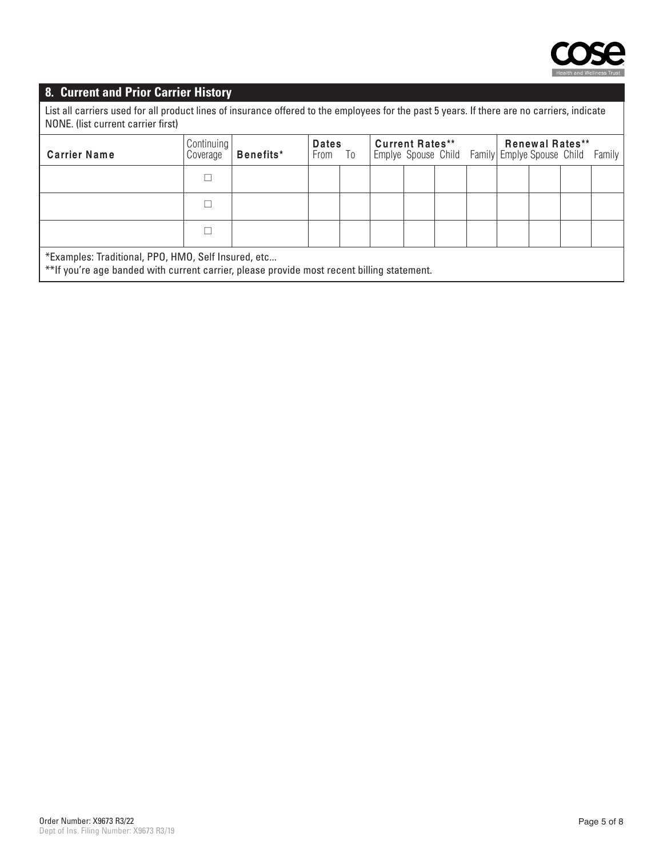

### **8. Current and Prior Carrier History**

 List all carriers used for all product lines of insurance offered to the employees for the past 5 years. If there are no carriers, indicate NONE. (list current carrier first)

| <b>Carrier Name</b>                                 | Continuing<br>Coverage | Benefits* | <b>Dates</b><br>From To |  | <b>Current Rates**</b><br>Emplye Spouse Child Family Emplye Spouse Child Family |  |  |  | <b>Renewal Rates**</b> |  |
|-----------------------------------------------------|------------------------|-----------|-------------------------|--|---------------------------------------------------------------------------------|--|--|--|------------------------|--|
|                                                     |                        |           |                         |  |                                                                                 |  |  |  |                        |  |
|                                                     |                        |           |                         |  |                                                                                 |  |  |  |                        |  |
|                                                     |                        |           |                         |  |                                                                                 |  |  |  |                        |  |
| *Examples: Traditional, PPO, HMO, Self Insured, etc |                        |           |                         |  |                                                                                 |  |  |  |                        |  |

\*\*If you're age banded with current carrier, please provide most recent billing statement.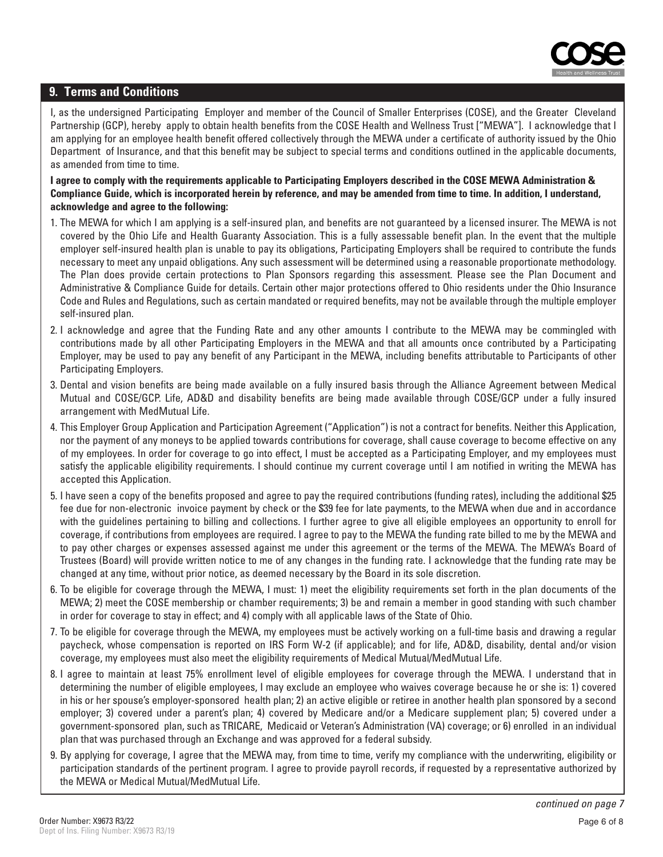

#### **9. Terms and Conditions**

I, as the undersigned Participating Employer and member of the Council of Smaller Enterprises (COSE), and the Greater Cleveland Partnership (GCP), hereby apply to obtain health benefits from the COSE Health and Wellness Trust ["MEWA"]. I acknowledge that I am applying for an employee health benefit offered collectively through the MEWA under a certificate of authority issued by the Ohio Department of Insurance, and that this benefit may be subject to special terms and conditions outlined in the applicable documents, as amended from time to time.

#### **I agree to comply with the requirements applicable to Participating Employers described in the COSE MEWA Administration & Compliance Guide, which is incorporated herein by reference, and may be amended from time to time. In addition, I understand, acknowledge and agree to the following:**

- 1. The MEWA for which I am applying is a self-insured plan, and benefits are not guaranteed by a licensed insurer. The MEWA is not covered by the Ohio Life and Health Guaranty Association. This is a fully assessable benefit plan. In the event that the multiple employer self-insured health plan is unable to pay its obligations, Participating Employers shall be required to contribute the funds necessary to meet any unpaid obligations. Any such assessment will be determined using a reasonable proportionate methodology. The Plan does provide certain protections to Plan Sponsors regarding this assessment. Please see the Plan Document and Administrative & Compliance Guide for details. Certain other major protections offered to Ohio residents under the Ohio Insurance Code and Rules and Regulations, such as certain mandated or required benefits, may not be available through the multiple employer self-insured plan.
- 2. I acknowledge and agree that the Funding Rate and any other amounts I contribute to the MEWA may be commingled with contributions made by all other Participating Employers in the MEWA and that all amounts once contributed by a Participating Employer, may be used to pay any benefit of any Participant in the MEWA, including benefits attributable to Participants of other Participating Employers.
- 3. Dental and vision benefits are being made available on a fully insured basis through the Alliance Agreement between Medical Mutual and COSE/GCP. Life, AD&D and disability benefits are being made available through COSE/GCP under a fully insured arrangement with MedMutual Life.
- 4. This Employer Group Application and Participation Agreement ("Application") is not a contract for benefits. Neither this Application, nor the payment of any moneys to be applied towards contributions for coverage, shall cause coverage to become effective on any of my employees. In order for coverage to go into effect, I must be accepted as a Participating Employer, and my employees must satisfy the applicable eligibility requirements. I should continue my current coverage until I am notified in writing the MEWA has accepted this Application.
- 5. I have seen a copy of the benefits proposed and agree to pay the required contributions (funding rates), including the additional \$25 fee due for non-electronic invoice payment by check or the \$39 fee for late payments, to the MEWA when due and in accordance with the guidelines pertaining to billing and collections. I further agree to give all eligible employees an opportunity to enroll for coverage, if contributions from employees are required. I agree to pay to the MEWA the funding rate billed to me by the MEWA and to pay other charges or expenses assessed against me under this agreement or the terms of the MEWA. The MEWA's Board of Trustees (Board) will provide written notice to me of any changes in the funding rate. I acknowledge that the funding rate may be changed at any time, without prior notice, as deemed necessary by the Board in its sole discretion.
- 6. To be eligible for coverage through the MEWA, I must: 1) meet the eligibility requirements set forth in the plan documents of the MEWA; 2) meet the COSE membership or chamber requirements; 3) be and remain a member in good standing with such chamber in order for coverage to stay in effect; and 4) comply with all applicable laws of the State of Ohio.
- 7. To be eligible for coverage through the MEWA, my employees must be actively working on a full-time basis and drawing a regular paycheck, whose compensation is reported on IRS Form W-2 (if applicable); and for life, AD&D, disability, dental and/or vision coverage, my employees must also meet the eligibility requirements of Medical Mutual/MedMutual Life.
- 8. I agree to maintain at least 75% enrollment level of eligible employees for coverage through the MEWA. I understand that in determining the number of eligible employees, I may exclude an employee who waives coverage because he or she is: 1) covered in his or her spouse's employer-sponsored health plan; 2) an active eligible or retiree in another health plan sponsored by a second employer; 3) covered under a parent's plan; 4) covered by Medicare and/or a Medicare supplement plan; 5) covered under a government-sponsored plan, such as TRICARE, Medicaid or Veteran's Administration (VA) coverage; or 6) enrolled in an individual plan that was purchased through an Exchange and was approved for a federal subsidy.
- 9. By applying for coverage, I agree that the MEWA may, from time to time, verify my compliance with the underwriting, eligibility or participation standards of the pertinent program. I agree to provide payroll records, if requested by a representative authorized by the MEWA or Medical Mutual/MedMutual Life.